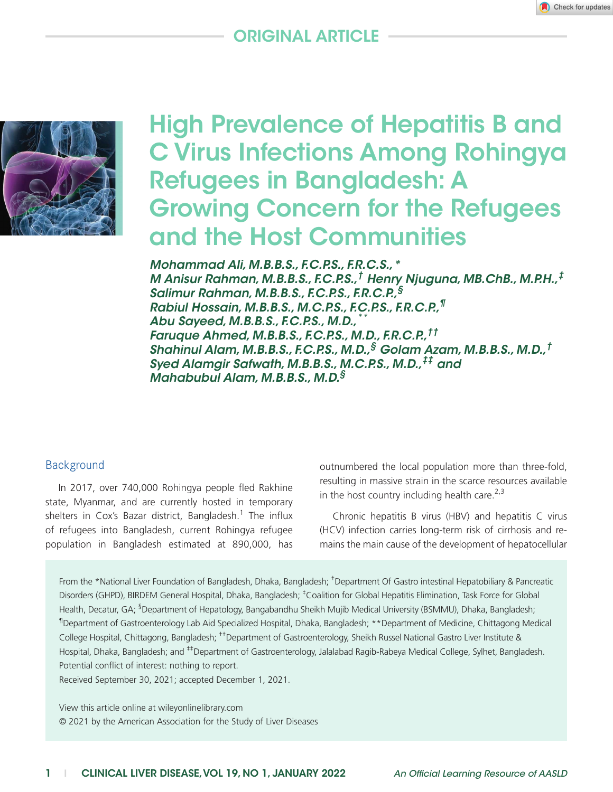# Original Article



# High Prevalence of Hepatitis B and C Virus Infections Among Rohingya Refugees in Bangladesh: A Growing Concern for the Refugees and the Host Communities

*Mohammad Ali, M.B.B.S., F.C.P.S., F.R.C.S.,\* M Anisur Rahman, M.B.B.S., F.C.P.S.,† Henry Njuguna, MB.ChB., M.P.H.,‡ Salimur Rahman, M.B.B.S., F.C.P.S., F.R.C.P.,§ Rabiul Hossain, M.B.B.S., M.C.P.S., F.C.P.S., F.R.C.P.,¶ Abu Sayeed, M.B.B.S., F.C.P.S., M.D.,\*\* Faruque Ahmed, M.B.B.S., F.C.P.S., M.D., F.R.C.P.,†† Shahinul Alam, M.B.B.S., F.C.P.S., M.D.,§ Golam Azam, M.B.B.S., M.D.,† Syed Alamgir Safwath, M.B.B.S., M.C.P.S., M.D.,‡‡ and Mahabubul Alam, M.B.B.S., M.D.§*

### **Background**

In 2017, over 740,000 Rohingya people fled Rakhine state, Myanmar, and are currently hosted in temporary shelters in Cox's Bazar district, Bangladesh.<sup>1</sup> The influx of refugees into Bangladesh, current Rohingya refugee population in Bangladesh estimated at 890,000, has

outnumbered the local population more than three-fold, resulting in massive strain in the scarce resources available in the host country including health care. $2,3$ 

Chronic hepatitis B virus (HBV) and hepatitis C virus (HCV) infection carries long-term risk of cirrhosis and remains the main cause of the development of hepatocellular

From the \*National Liver Foundation of Bangladesh, Dhaka, Bangladesh; <sup>†</sup>Department Of Gastro intestinal Hepatobiliary & Pancreatic Disorders (GHPD), BIRDEM General Hospital, Dhaka, Bangladesh; <sup>‡</sup>Coalition for Global Hepatitis Elimination, Task Force for Global Health, Decatur, GA; <sup>§</sup>Department of Hepatology, Bangabandhu Sheikh Mujib Medical University (BSMMU), Dhaka, Bangladesh; ¶ Department of Gastroenterology Lab Aid Specialized Hospital, Dhaka, Bangladesh; \*\*Department of Medicine, Chittagong Medical College Hospital, Chittagong, Bangladesh; ††Department of Gastroenterology, Sheikh Russel National Gastro Liver Institute & Hospital, Dhaka, Bangladesh; and <sup>#‡</sup>Department of Gastroenterology, Jalalabad Ragib-Rabeya Medical College, Sylhet, Bangladesh. Potential conflict of interest: nothing to report.

Received September 30, 2021; accepted December 1, 2021.

View this article online at wileyonlinelibrary.com © 2021 by the American Association for the Study of Liver Diseases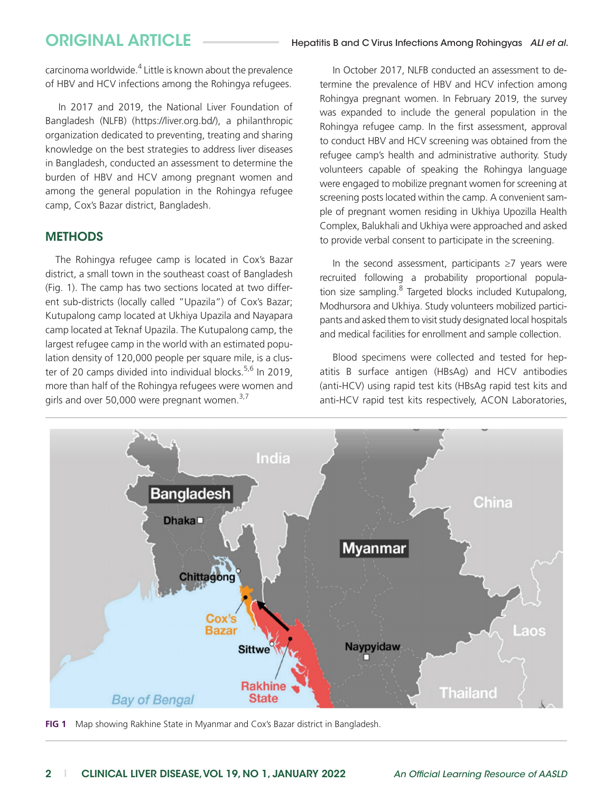carcinoma worldwide.<sup>4</sup> Little is known about the prevalence of HBV and HCV infections among the Rohingya refugees.

In 2017 and 2019, the National Liver Foundation of Bangladesh (NLFB) ([https://liver.org.bd/\)](https://liver.org.bd/), a philanthropic organization dedicated to preventing, treating and sharing knowledge on the best strategies to address liver diseases in Bangladesh, conducted an assessment to determine the burden of HBV and HCV among pregnant women and among the general population in the Rohingya refugee camp, Cox's Bazar district, Bangladesh.

### **METHODS**

The Rohingya refugee camp is located in Cox's Bazar district, a small town in the southeast coast of Bangladesh (Fig. 1). The camp has two sections located at two different sub-districts (locally called "Upazila") of Cox's Bazar; Kutupalong camp located at Ukhiya Upazila and Nayapara camp located at Teknaf Upazila. The Kutupalong camp, the largest refugee camp in the world with an estimated population density of 120,000 people per square mile, is a cluster of 20 camps divided into individual blocks.<sup>5,6</sup> In 2019, more than half of the Rohingya refugees were women and girls and over 50,000 were pregnant women. $3,7$ 

In October 2017, NLFB conducted an assessment to determine the prevalence of HBV and HCV infection among Rohingya pregnant women. In February 2019, the survey was expanded to include the general population in the Rohingya refugee camp. In the first assessment, approval to conduct HBV and HCV screening was obtained from the refugee camp's health and administrative authority. Study volunteers capable of speaking the Rohingya language were engaged to mobilize pregnant women for screening at screening posts located within the camp. A convenient sample of pregnant women residing in Ukhiya Upozilla Health Complex, Balukhali and Ukhiya were approached and asked to provide verbal consent to participate in the screening.

In the second assessment, participants ≥7 years were recruited following a probability proportional population size sampling.<sup>8</sup> Targeted blocks included Kutupalong, Modhursora and Ukhiya. Study volunteers mobilized participants and asked them to visit study designated local hospitals and medical facilities for enrollment and sample collection.

Blood specimens were collected and tested for hepatitis B surface antigen (HBsAg) and HCV antibodies (anti-HCV) using rapid test kits (HBsAg rapid test kits and anti-HCV rapid test kits respectively, ACON Laboratories,



**FIG 1** Map showing Rakhine State in Myanmar and Cox's Bazar district in Bangladesh.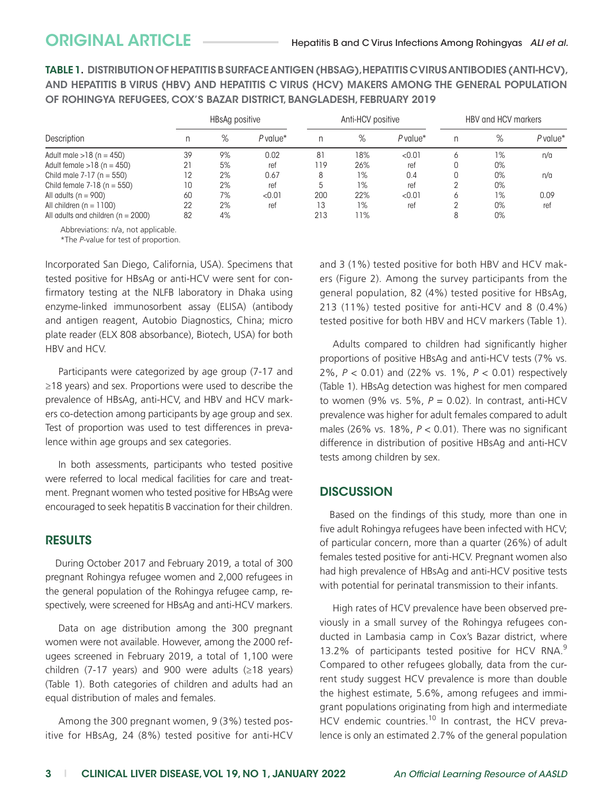TABLE 1. DISTRIBUTION OF HEPATITIS B SURFACEANTIGEN (HBSAG), HEPATITIS C VIRUSANTIBODIES (ANTI-HCV), AND HEPATITIS B VIRUS (HBV) AND HEPATITIS C VIRUS (HCV) MAKERS AMONG THE GENERAL POPULATION OF ROHINGYA REFUGEES, COX'S BAZAR DISTRICT, BANGLADESH, FEBRUARY 2019

| Description                          | HBsAg positive |    |                        | Anti-HCV positive |       |            | HBV and HCV markers |    |            |
|--------------------------------------|----------------|----|------------------------|-------------------|-------|------------|---------------------|----|------------|
|                                      |                | %  | $P$ value <sup>*</sup> |                   | $\%$  | $P$ value* |                     | %  | $P$ value* |
| Adult male $>18$ (n = 450)           | 39             | 9% | 0.02                   | 81                | 18%   | < 0.01     |                     | 1% | n/a        |
| Adult female $>18$ (n = 450)         | 21             | 5% | ref                    | 119               | 26%   | ref        |                     | 0% |            |
| Child male $7-17$ (n = 550)          | 12             | 2% | 0.67                   | 8                 | $1\%$ | 0.4        |                     | 0% | n/a        |
| Child female $7-18$ (n = 550)        | 10             | 2% | ref                    | 5                 | 1%    | ref        |                     | 0% |            |
| All adults $(n = 900)$               | 60             | 7% | < 0.01                 | 200               | 22%   | < 0.01     |                     | 1% | 0.09       |
| All children $(n = 1100)$            | 22             | 2% | ref                    | 13                | $1\%$ | ref        |                     | 0% | ref        |
| All adults and children $(n = 2000)$ | 82             | 4% |                        | 213               | 11%   |            |                     | 0% |            |

Abbreviations: n/a, not applicable.

\*The *P*-value for test of proportion.

Incorporated San Diego, California, USA). Specimens that tested positive for HBsAg or anti-HCV were sent for confirmatory testing at the NLFB laboratory in Dhaka using enzyme-linked immunosorbent assay (ELISA) (antibody and antigen reagent, Autobio Diagnostics, China; micro plate reader (ELX 808 absorbance), Biotech, USA) for both HBV and HCV.

Participants were categorized by age group (7-17 and ≥18 years) and sex. Proportions were used to describe the prevalence of HBsAg, anti-HCV, and HBV and HCV markers co-detection among participants by age group and sex. Test of proportion was used to test differences in prevalence within age groups and sex categories.

In both assessments, participants who tested positive were referred to local medical facilities for care and treatment. Pregnant women who tested positive for HBsAg were encouraged to seek hepatitis B vaccination for their children.

### RESULTS

During October 2017 and February 2019, a total of 300 pregnant Rohingya refugee women and 2,000 refugees in the general population of the Rohingya refugee camp, respectively, were screened for HBsAg and anti-HCV markers.

Data on age distribution among the 300 pregnant women were not available. However, among the 2000 refugees screened in February 2019, a total of 1,100 were children (7-17 years) and 900 were adults ( $\geq$ 18 years) (Table 1). Both categories of children and adults had an equal distribution of males and females.

Among the 300 pregnant women, 9 (3%) tested positive for HBsAg, 24 (8%) tested positive for anti-HCV and 3 (1%) tested positive for both HBV and HCV makers (Figure 2). Among the survey participants from the general population, 82 (4%) tested positive for HBsAg, 213 (11%) tested positive for anti-HCV and 8 (0.4%) tested positive for both HBV and HCV markers (Table 1).

Adults compared to children had significantly higher proportions of positive HBsAg and anti-HCV tests (7% vs. 2%, *P* < 0.01) and (22% vs. 1%, *P* < 0.01) respectively (Table 1). HBsAg detection was highest for men compared to women (9% vs. 5%, *P* = 0.02). In contrast, anti-HCV prevalence was higher for adult females compared to adult males (26% vs. 18%, *P* < 0.01). There was no significant difference in distribution of positive HBsAg and anti-HCV tests among children by sex.

# **DISCUSSION**

Based on the findings of this study, more than one in five adult Rohingya refugees have been infected with HCV; of particular concern, more than a quarter (26%) of adult females tested positive for anti-HCV. Pregnant women also had high prevalence of HBsAg and anti-HCV positive tests with potential for perinatal transmission to their infants.

High rates of HCV prevalence have been observed previously in a small survey of the Rohingya refugees conducted in Lambasia camp in Cox's Bazar district, where 13.2% of participants tested positive for HCV RNA.<sup>9</sup> Compared to other refugees globally, data from the current study suggest HCV prevalence is more than double the highest estimate, 5.6%, among refugees and immigrant populations originating from high and intermediate HCV endemic countries.<sup>10</sup> In contrast, the HCV prevalence is only an estimated 2.7% of the general population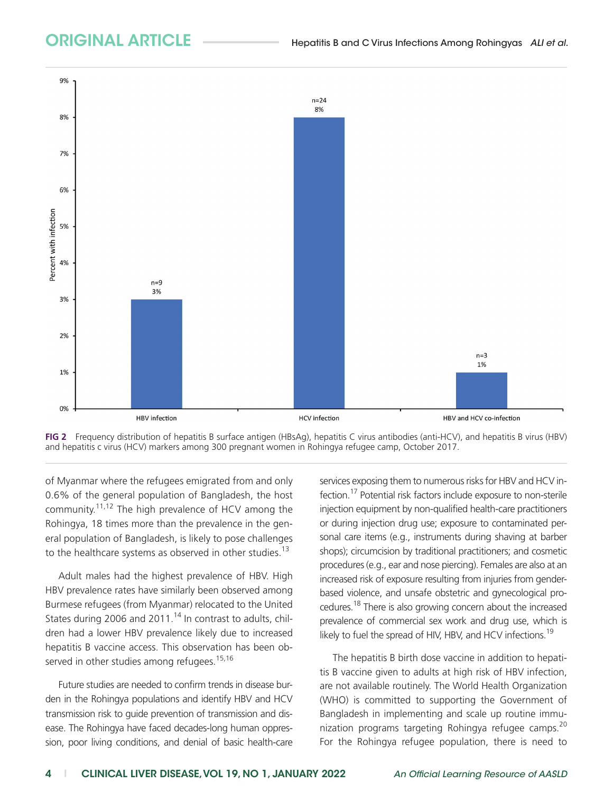



of Myanmar where the refugees emigrated from and only 0.6% of the general population of Bangladesh, the host community.11,12 The high prevalence of HCV among the Rohingya, 18 times more than the prevalence in the general population of Bangladesh, is likely to pose challenges to the healthcare systems as observed in other studies.<sup>13</sup>

Adult males had the highest prevalence of HBV. High HBV prevalence rates have similarly been observed among Burmese refugees (from Myanmar) relocated to the United States during 2006 and 2011.<sup>14</sup> In contrast to adults, children had a lower HBV prevalence likely due to increased hepatitis B vaccine access. This observation has been observed in other studies among refugees.<sup>15,16</sup>

Future studies are needed to confirm trends in disease burden in the Rohingya populations and identify HBV and HCV transmission risk to guide prevention of transmission and disease. The Rohingya have faced decades-long human oppression, poor living conditions, and denial of basic health-care services exposing them to numerous risks for HBV and HCV infection.17 Potential risk factors include exposure to non-sterile injection equipment by non-qualified health-care practitioners or during injection drug use; exposure to contaminated personal care items (e.g., instruments during shaving at barber shops); circumcision by traditional practitioners; and cosmetic procedures (e.g., ear and nose piercing). Females are also at an increased risk of exposure resulting from injuries from genderbased violence, and unsafe obstetric and gynecological procedures.18 There is also growing concern about the increased prevalence of commercial sex work and drug use, which is likely to fuel the spread of HIV, HBV, and HCV infections.<sup>19</sup>

The hepatitis B birth dose vaccine in addition to hepatitis B vaccine given to adults at high risk of HBV infection, are not available routinely. The World Health Organization (WHO) is committed to supporting the Government of Bangladesh in implementing and scale up routine immunization programs targeting Rohingya refugee camps.<sup>20</sup> For the Rohingya refugee population, there is need to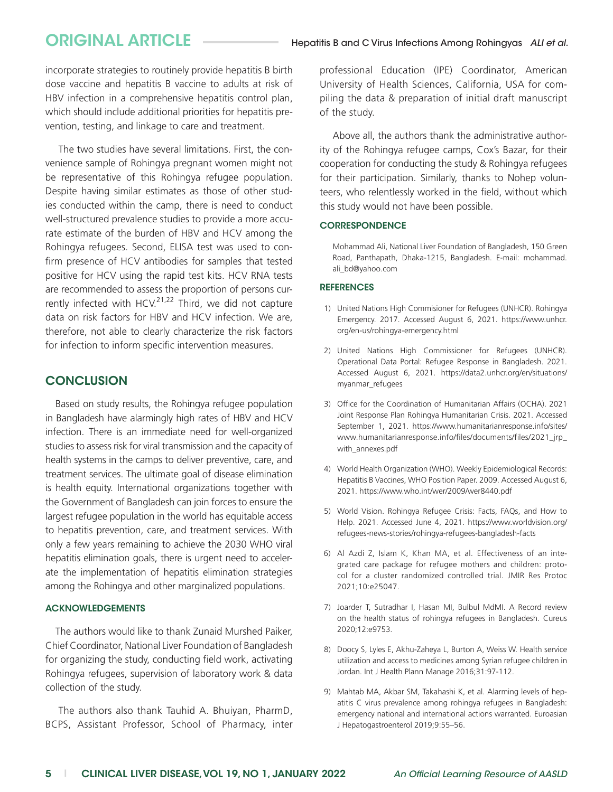incorporate strategies to routinely provide hepatitis B birth dose vaccine and hepatitis B vaccine to adults at risk of HBV infection in a comprehensive hepatitis control plan, which should include additional priorities for hepatitis prevention, testing, and linkage to care and treatment.

The two studies have several limitations. First, the convenience sample of Rohingya pregnant women might not be representative of this Rohingya refugee population. Despite having similar estimates as those of other studies conducted within the camp, there is need to conduct well-structured prevalence studies to provide a more accurate estimate of the burden of HBV and HCV among the Rohingya refugees. Second, ELISA test was used to confirm presence of HCV antibodies for samples that tested positive for HCV using the rapid test kits. HCV RNA tests are recommended to assess the proportion of persons currently infected with HCV.<sup>21,22</sup> Third, we did not capture data on risk factors for HBV and HCV infection. We are, therefore, not able to clearly characterize the risk factors for infection to inform specific intervention measures.

# **CONCLUSION**

Based on study results, the Rohingya refugee population in Bangladesh have alarmingly high rates of HBV and HCV infection. There is an immediate need for well-organized studies to assess risk for viral transmission and the capacity of health systems in the camps to deliver preventive, care, and treatment services. The ultimate goal of disease elimination is health equity. International organizations together with the Government of Bangladesh can join forces to ensure the largest refugee population in the world has equitable access to hepatitis prevention, care, and treatment services. With only a few years remaining to achieve the 2030 WHO viral hepatitis elimination goals, there is urgent need to accelerate the implementation of hepatitis elimination strategies among the Rohingya and other marginalized populations.

### ACKNOWLEDGEMENTS

The authors would like to thank Zunaid Murshed Paiker, Chief Coordinator, National Liver Foundation of Bangladesh for organizing the study, conducting field work, activating Rohingya refugees, supervision of laboratory work & data collection of the study.

The authors also thank Tauhid A. Bhuiyan, PharmD, BCPS, Assistant Professor, School of Pharmacy, inter professional Education (IPE) Coordinator, American University of Health Sciences, California, USA for compiling the data & preparation of initial draft manuscript of the study.

Above all, the authors thank the administrative authority of the Rohingya refugee camps, Cox's Bazar, for their cooperation for conducting the study & Rohingya refugees for their participation. Similarly, thanks to Nohep volunteers, who relentlessly worked in the field, without which this study would not have been possible.

### **CORRESPONDENCE**

Mohammad Ali, National Liver Foundation of Bangladesh, 150 Green Road, Panthapath, Dhaka-1215, Bangladesh. E-mail: [mohammad.](mailto:mohammad.ali_bd@yahoo.com) [ali\\_bd@yahoo.com](mailto:mohammad.ali_bd@yahoo.com)

### **REFERENCES**

- 1) United Nations High Commisioner for Refugees (UNHCR). Rohingya Emergency. 2017. Accessed August 6, 2021. [https://www.unhcr.](https://www.unhcr.org/en-us/rohingya-emergency.html) [org/en-us/rohingya-emergency.html](https://www.unhcr.org/en-us/rohingya-emergency.html)
- 2) United Nations High Commissioner for Refugees (UNHCR). Operational Data Portal: Refugee Response in Bangladesh. 2021. Accessed August 6, 2021. [https://data2.unhcr.org/en/situations/](https://data2.unhcr.org/en/situations/myanmar_refugees) [myanmar\\_refugees](https://data2.unhcr.org/en/situations/myanmar_refugees)
- 3) Office for the Coordination of Humanitarian Affairs (OCHA). 2021 Joint Response Plan Rohingya Humanitarian Crisis. 2021. Accessed September 1, 2021. [https://www.humanitarianresponse.info/sites/](https://www.humanitarianresponse.info/sites/www.humanitarianresponse.info/files/documents/files/2021_jrp_with_annexes.pdf) [www.humanitarianresponse.info/files/documents/files/2021\\_jrp\\_](https://www.humanitarianresponse.info/sites/www.humanitarianresponse.info/files/documents/files/2021_jrp_with_annexes.pdf) [with\\_annexes.pdf](https://www.humanitarianresponse.info/sites/www.humanitarianresponse.info/files/documents/files/2021_jrp_with_annexes.pdf)
- 4) World Health Organization (WHO). Weekly Epidemiological Records: Hepatitis B Vaccines, WHO Position Paper. 2009. Accessed August 6, 2021.<https://www.who.int/wer/2009/wer8440.pdf>
- 5) World Vision. Rohingya Refugee Crisis: Facts, FAQs, and How to Help. 2021. Accessed June 4, 2021. [https://www.worldvision.org/](https://www.worldvision.org/refugees-news-stories/rohingya-refugees-bangladesh-facts) [refugees-news-stories/rohingya-refugees-bangladesh-facts](https://www.worldvision.org/refugees-news-stories/rohingya-refugees-bangladesh-facts)
- 6) Al Azdi Z, Islam K, Khan MA, et al. Effectiveness of an integrated care package for refugee mothers and children: protocol for a cluster randomized controlled trial. JMIR Res Protoc 2021;10:e25047.
- 7) Joarder T, Sutradhar I, Hasan MI, Bulbul MdMI. A Record review on the health status of rohingya refugees in Bangladesh. Cureus 2020;12:e9753.
- 8) Doocy S, Lyles E, Akhu-Zaheya L, Burton A, Weiss W. Health service utilization and access to medicines among Syrian refugee children in Jordan. Int J Health Plann Manage 2016;31:97-112.
- 9) Mahtab MA, Akbar SM, Takahashi K, et al. Alarming levels of hepatitis C virus prevalence among rohingya refugees in Bangladesh: emergency national and international actions warranted. Euroasian J Hepatogastroenterol 2019;9:55–56.